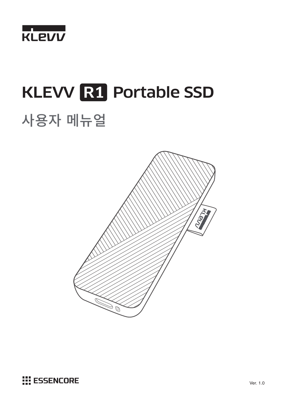

# KLEVV R1 Portable SSD 사용자�메뉴얼



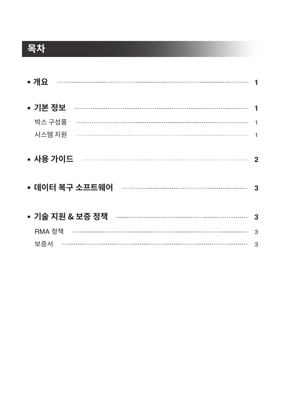## **목차**

| ■ 개요                                                                                                                                                                                                                                                                                                                                                                                                                                                                                                                   |                  |
|------------------------------------------------------------------------------------------------------------------------------------------------------------------------------------------------------------------------------------------------------------------------------------------------------------------------------------------------------------------------------------------------------------------------------------------------------------------------------------------------------------------------|------------------|
| ▪ 기본 정보                                                                                                                                                                                                                                                                                                                                                                                                                                                                                                                |                  |
| 박스 구성품                                                                                                                                                                                                                                                                                                                                                                                                                                                                                                                 |                  |
| 시스템 지원                                                                                                                                                                                                                                                                                                                                                                                                                                                                                                                 |                  |
| ▪ 사용 가이드<br>$\begin{minipage}{0.5\textwidth} \begin{tabular}{ c c c c } \hline \multicolumn{1}{ c }{0.4\textwidth} \includegraphics{1}{c c } \hline \multicolumn{1}{ c }{0.4\textwidth} \includegraphics{1}{c c } \hline \multicolumn{1}{ c }{0.4\textwidth} \includegraphics{1}{c c } \hline \multicolumn{1}{ c }{0.4\textwidth} \includegraphics{1}{c c } \hline \multicolumn{1}{ c }{0.4\textwidth} \includegraphics{1}{c c } \hline \multicolumn{1}{ c }{0.4\textwidth} \includegraphics{1}{c c$<br>▪ 데이터 복구 소프트웨어 | $\mathbf 2$<br>3 |
| ▪ 기술 지원 & 보증 정책                                                                                                                                                                                                                                                                                                                                                                                                                                                                                                        | 3                |
| RMA 정책                                                                                                                                                                                                                                                                                                                                                                                                                                                                                                                 | 3                |
| 보증서                                                                                                                                                                                                                                                                                                                                                                                                                                                                                                                    | 3                |
|                                                                                                                                                                                                                                                                                                                                                                                                                                                                                                                        |                  |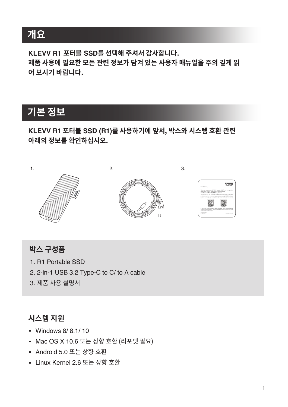### **개요**

**KLEVV R1 포터블 SSD를 선택해 주셔서 감사합니다. 제품 사용에 필요한 모든 관련 정보가 담겨 있는 사용자 매뉴얼을 주의 깊게 읽 어 보시기 바랍니다.**

### **기본 정보**

#### **KLEVV R1 포터블 SSD (R1)를 사용하기에 앞서, 박스와 시스템 호환 관련 아래의 정보를 확인하십시오.**



### **박스 구성품**

- 1. R1 Portable SSD
- 2. 2-in-1 USB 3.2 Type-C to C/ to A cable
- 3. 제품 사용 설명서

#### **시스템 지원**

- Windows 8/ 8.1/ 10
- Mac OS X 10.6 또는 상향 호환 (리포맷 필요)
- Android 5.0 또는 상향 호환
- Linux Kernel 2.6 또는 상향 호환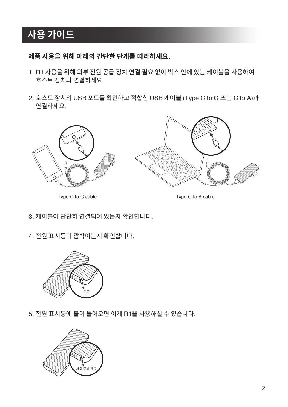### **사용 가이드**

#### **제품 사용을 위해 아래의 간단한 단계를 따라하세요.**

- 1. R1 사용을 위해 외부 전원 공급 장치 연결 필요 없이 박스 안에 있는 케이블을 사용하여 호스트 장치와 연결하세요.
- 2. 호스트 장치의 USB 포트를 확인하고 적합한 USB 케이블 (Type C to C 또는 C to A)과 연결하세요.



Type-C to C cable Type-C to A cable

- 3. 케이블이 단단히 연결되어 있는지 확인합니다.
- 4. 전원 표시등이 깜박이는지 확인합니다.



5. 전원 표시등에 불이 들어오면 이제 R1을 사용하실 수 있습니다.